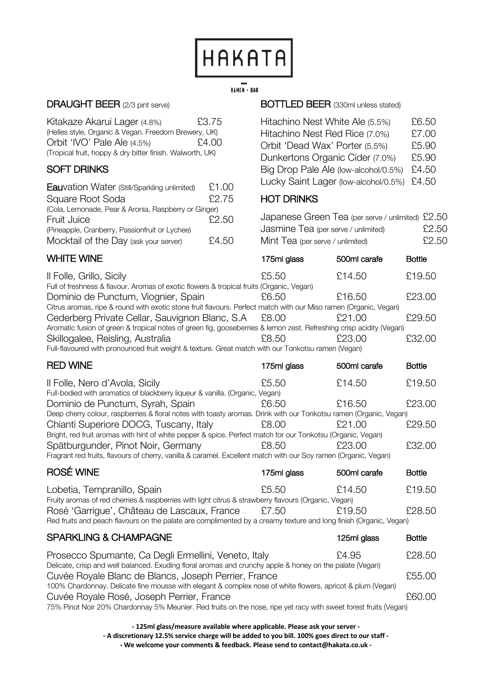

# $\overline{\mathsf{RAMEN}} \cdot \mathsf{BAR}$

#### DRAUGHT BEER (2/3 pint serve)

Kitakaze Akarui Lager (4.8%) £3.75 (Helles style, Organic & Vegan. Freedom Brewery, UK) Orbit 'IVO' Pale Ale (4.5%) £4.00 (Tropical fruit, hoppy & dry bitter finish. Walworth, UK)

# SOFT DRINKS

| <b>Eauvation Water (Still/Sparkling unlimited)</b>   | £1.00 |
|------------------------------------------------------|-------|
| Square Root Soda                                     | £2.75 |
| (Cola, Lemonade, Pear & Aronia, Raspberry or Ginger) |       |
| Fruit Juice                                          | £2.50 |
| (Pineapple, Cranberry, Passionfruit or Lychee)       |       |
| Mocktail of the Day (ask your server)                | £4.50 |

# WHITE WINE **175ml glass** 500ml carafe Bottle

#### BOTTLED BEER (330ml unless stated)

| Hitachino Nest White Ale (5.5%)            | £6.50 |
|--------------------------------------------|-------|
| Hitachino Nest Red Rice (7.0%)             | £7.00 |
| Orbit 'Dead Wax' Porter (5.5%)             | £5.90 |
| Dunkertons Organic Cider (7.0%)            | £5.90 |
| Big Drop Pale Ale (low-alcohol/0.5%)       | £4.50 |
| Lucky Saint Lager (low-alcohol/0.5%) £4.50 |       |

### HOT DRINKS

| Japanese Green Tea (per serve / unlimited) £2.50 |       |
|--------------------------------------------------|-------|
| Jasmine Tea (per serve / unlimited)              | £2.50 |
| Mint Tea (per serve / unlimited)                 | £2.50 |

| Il Folle, Grillo, Sicily                                                                                            | £5.50 | £14.50 | £19.50 |
|---------------------------------------------------------------------------------------------------------------------|-------|--------|--------|
| Full of freshness & flavour. Aromas of exotic flowers & tropical fruits (Organic, Vegan)                            |       |        |        |
| Dominio de Punctum, Viognier, Spain                                                                                 | £6.50 | £16.50 | £23.00 |
| Citrus aromas, ripe & round with exotic stone fruit flavours. Perfect match with our Miso ramen (Organic, Vegan)    |       |        |        |
| Cederberg Private Cellar, Sauvignon Blanc, S.A                                                                      | £8.00 | £21.00 | £29.50 |
| Aromatic fusion of green & tropical notes of green fig, gooseberries & lemon zest. Refreshing crisp acidity (Vegan) |       |        |        |
| Skillogalee, Reisling, Australia                                                                                    | £8.50 | £23.00 | £32.00 |
| Full-flavoured with pronounced fruit weight & texture. Great match with our Tonkotsu ramen (Vegan)                  |       |        |        |

| <b>RED WINE</b>                                                                                                   | 175ml glass | 500ml carafe | <b>Bottle</b> |  |
|-------------------------------------------------------------------------------------------------------------------|-------------|--------------|---------------|--|
| Il Folle, Nero d'Avola, Sicily                                                                                    | £5.50       | £14.50       | £19.50        |  |
| Full-bodied with aromatics of blackberry liqueur & vanilla. (Organic, Vegan)                                      |             |              |               |  |
| Dominio de Punctum, Syrah, Spain                                                                                  | £6.50       | £16.50       | £23.00        |  |
| Deep cherry colour, raspberries & floral notes with toasty aromas. Drink with our Tonkotsu ramen (Organic, Vegan) |             |              |               |  |
| Chianti Superiore DOCG, Tuscany, Italy                                                                            | £8.00       | £21.00       | £29.50        |  |
| Bright, red fruit aromas with hint of white pepper & spice. Perfect match for our Tonkotsu (Organic, Vegan)       |             |              |               |  |
| Spätburgunder, Pinot Noir, Germany                                                                                | £8.50       | £23.00       | £32.00        |  |
| Fragrant red fruits, flavours of cherry, vanilla & caramel. Excellent match with our Soy ramen (Organic, Vegan)   |             |              |               |  |

| ROSÉ WINE                                                                                                         | 175ml glass | 500ml carafe | <b>Bottle</b> |  |
|-------------------------------------------------------------------------------------------------------------------|-------------|--------------|---------------|--|
| Lobetia, Tempranillo, Spain                                                                                       | £5.50       | £14.50       | £19.50        |  |
| Fruity aromas of red cherries & raspberries with light citrus & strawberry flavours (Organic, Vegan)              |             |              |               |  |
| Rosé 'Garrigue', Château de Lascaux, France                                                                       | £7.50       | £19.50       | £28.50        |  |
| Red fruits and peach flavours on the palate are complimented by a creamy texture and long finish (Organic, Vegan) |             |              |               |  |

# SPARKLING & CHAMPAGNE

| 125ml glass | <b>Bottle</b> |
|-------------|---------------|
|-------------|---------------|

| Prosecco Spumante, Ca Degli Ermellini, Veneto, Italy                                                             | £4.95 | £28.50 |
|------------------------------------------------------------------------------------------------------------------|-------|--------|
| Delicate, crisp and well balanced. Exuding floral aromas and crunchy apple & honey on the palate (Vegan)         |       |        |
| Cuvée Royale Blanc de Blancs, Joseph Perrier, France                                                             |       | £55.00 |
| 100% Chardonnay. Delicate fine mousse with elegant & complex nose of white flowers, apricot & plum (Vegan)       |       |        |
| Cuvée Royale Rosé, Joseph Perrier, France                                                                        |       | 660.00 |
| 75% Pinot Noir 20% Chardonnay 5% Meunier. Red fruits on the nose, ripe yet racy with sweet forest fruits (Vegan) |       |        |

**- 125ml glass/measure available where applicable. Please ask your server - - A discretionary 12.5% service charge will be added to you bill. 100% goes direct to our staff - - We welcome your comments & feedback. Please send to contact@hakata.co.uk -**